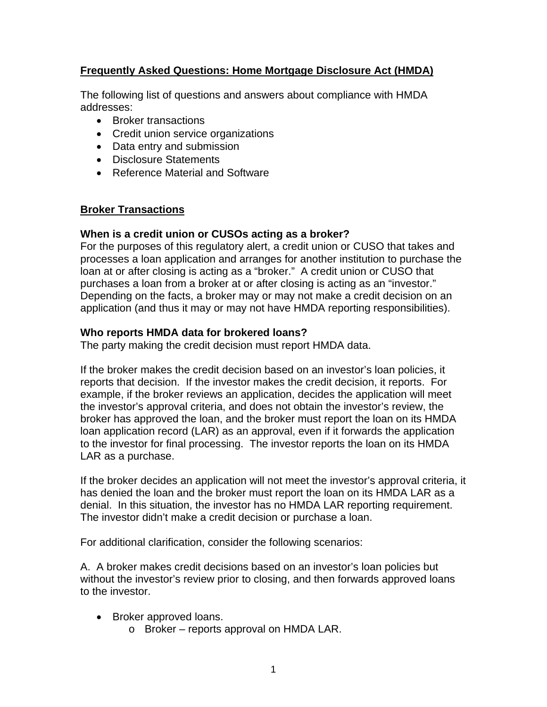# **Frequently Asked Questions: Home Mortgage Disclosure Act (HMDA)**

The following list of questions and answers about compliance with HMDA addresses:

- Broker transactions
- Credit union service organizations
- Data entry and submission
- Disclosure Statements
- Reference Material and Software

## **Broker Transactions**

### **When is a credit union or CUSOs acting as a broker?**

For the purposes of this regulatory alert, a credit union or CUSO that takes and processes a loan application and arranges for another institution to purchase the loan at or after closing is acting as a "broker." A credit union or CUSO that purchases a loan from a broker at or after closing is acting as an "investor." Depending on the facts, a broker may or may not make a credit decision on an application (and thus it may or may not have HMDA reporting responsibilities).

## **Who reports HMDA data for brokered loans?**

The party making the credit decision must report HMDA data.

If the broker makes the credit decision based on an investor's loan policies, it reports that decision. If the investor makes the credit decision, it reports. For example, if the broker reviews an application, decides the application will meet the investor's approval criteria, and does not obtain the investor's review, the broker has approved the loan, and the broker must report the loan on its HMDA loan application record (LAR) as an approval, even if it forwards the application to the investor for final processing. The investor reports the loan on its HMDA LAR as a purchase.

If the broker decides an application will not meet the investor's approval criteria, it has denied the loan and the broker must report the loan on its HMDA LAR as a denial. In this situation, the investor has no HMDA LAR reporting requirement. The investor didn't make a credit decision or purchase a loan.

For additional clarification, consider the following scenarios:

A. A broker makes credit decisions based on an investor's loan policies but without the investor's review prior to closing, and then forwards approved loans to the investor.

- Broker approved loans.
	- o Broker reports approval on HMDA LAR.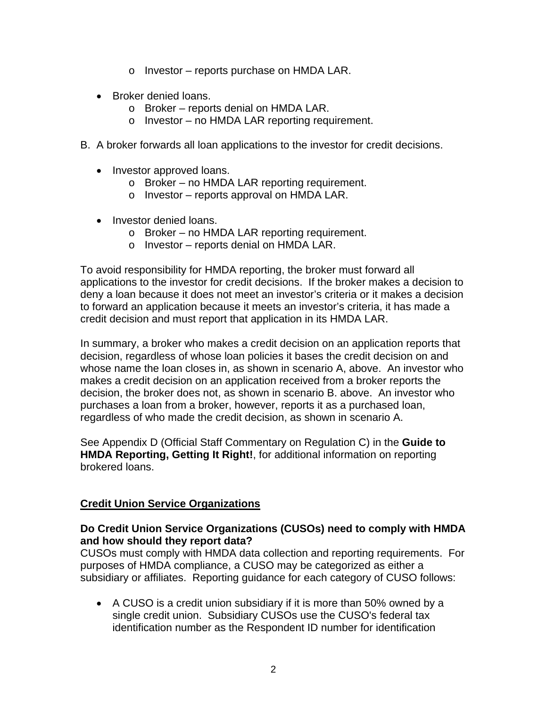- o Investor reports purchase on HMDA LAR.
- Broker denied loans.
	- o Broker reports denial on HMDA LAR.
	- o Investor no HMDA LAR reporting requirement.
- B. A broker forwards all loan applications to the investor for credit decisions.
	- Investor approved loans.
		- o Broker no HMDA LAR reporting requirement.
		- o Investor reports approval on HMDA LAR.
	- Investor denied loans.
		- o Broker no HMDA LAR reporting requirement.
		- o Investor reports denial on HMDA LAR.

To avoid responsibility for HMDA reporting, the broker must forward all applications to the investor for credit decisions. If the broker makes a decision to deny a loan because it does not meet an investor's criteria or it makes a decision to forward an application because it meets an investor's criteria, it has made a credit decision and must report that application in its HMDA LAR.

In summary, a broker who makes a credit decision on an application reports that decision, regardless of whose loan policies it bases the credit decision on and whose name the loan closes in, as shown in scenario A, above. An investor who makes a credit decision on an application received from a broker reports the decision, the broker does not, as shown in scenario B. above. An investor who purchases a loan from a broker, however, reports it as a purchased loan, regardless of who made the credit decision, as shown in scenario A.

See Appendix D (Official Staff Commentary on Regulation C) in the **Guide to HMDA Reporting, Getting It Right!**, for additional information on reporting brokered loans.

# **Credit Union Service Organizations**

# **Do Credit Union Service Organizations (CUSOs) need to comply with HMDA and how should they report data?**

CUSOs must comply with HMDA data collection and reporting requirements. For purposes of HMDA compliance, a CUSO may be categorized as either a subsidiary or affiliates. Reporting guidance for each category of CUSO follows:

• A CUSO is a credit union subsidiary if it is more than 50% owned by a single credit union. Subsidiary CUSOs use the CUSO's federal tax identification number as the Respondent ID number for identification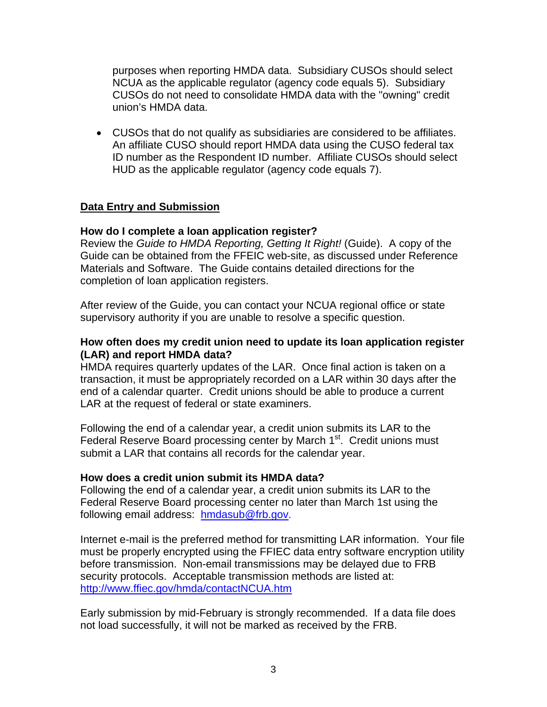purposes when reporting HMDA data. Subsidiary CUSOs should select NCUA as the applicable regulator (agency code equals 5). Subsidiary CUSOs do not need to consolidate HMDA data with the "owning" credit union's HMDA data.

• CUSOs that do not qualify as subsidiaries are considered to be affiliates. An affiliate CUSO should report HMDA data using the CUSO federal tax ID number as the Respondent ID number. Affiliate CUSOs should select HUD as the applicable regulator (agency code equals 7).

# **Data Entry and Submission**

## **How do I complete a loan application register?**

Review the *Guide to HMDA Reporting, Getting It Right!* (Guide). A copy of the Guide can be obtained from the FFEIC web-site, as discussed under Reference Materials and Software. The Guide contains detailed directions for the completion of loan application registers.

After review of the Guide, you can contact your NCUA regional office or state supervisory authority if you are unable to resolve a specific question.

## **How often does my credit union need to update its loan application register (LAR) and report HMDA data?**

HMDA requires quarterly updates of the LAR. Once final action is taken on a transaction, it must be appropriately recorded on a LAR within 30 days after the end of a calendar quarter. Credit unions should be able to produce a current LAR at the request of federal or state examiners.

Following the end of a calendar year, a credit union submits its LAR to the Federal Reserve Board processing center by March 1<sup>st</sup>. Credit unions must submit a LAR that contains all records for the calendar year.

## **How does a credit union submit its HMDA data?**

Following the end of a calendar year, a credit union submits its LAR to the Federal Reserve Board processing center no later than March 1st using the following email address: hmdasub@frb.gov.

Internet e-mail is the preferred method for transmitting LAR information. Your file must be properly encrypted using the FFIEC data entry software encryption utility before transmission. Non-email transmissions may be delayed due to FRB security protocols. Acceptable transmission methods are listed at: http://www.ffiec.gov/hmda/contactNCUA.htm

Early submission by mid-February is strongly recommended. If a data file does not load successfully, it will not be marked as received by the FRB.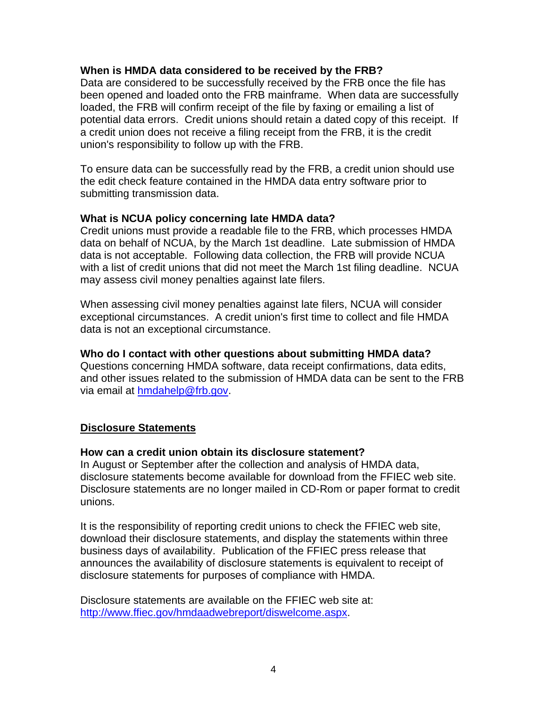### **When is HMDA data considered to be received by the FRB?**

Data are considered to be successfully received by the FRB once the file has been opened and loaded onto the FRB mainframe. When data are successfully loaded, the FRB will confirm receipt of the file by faxing or emailing a list of potential data errors. Credit unions should retain a dated copy of this receipt. If a credit union does not receive a filing receipt from the FRB, it is the credit union's responsibility to follow up with the FRB.

To ensure data can be successfully read by the FRB, a credit union should use the edit check feature contained in the HMDA data entry software prior to submitting transmission data.

### **What is NCUA policy concerning late HMDA data?**

Credit unions must provide a readable file to the FRB, which processes HMDA data on behalf of NCUA, by the March 1st deadline. Late submission of HMDA data is not acceptable. Following data collection, the FRB will provide NCUA with a list of credit unions that did not meet the March 1st filing deadline. NCUA may assess civil money penalties against late filers.

When assessing civil money penalties against late filers, NCUA will consider exceptional circumstances. A credit union's first time to collect and file HMDA data is not an exceptional circumstance.

#### **Who do I contact with other questions about submitting HMDA data?**

Questions concerning HMDA software, data receipt confirmations, data edits, and other issues related to the submission of HMDA data can be sent to the FRB via email at hmdahelp@frb.gov.

## **Disclosure Statements**

#### **How can a credit union obtain its disclosure statement?**

In August or September after the collection and analysis of HMDA data, disclosure statements become available for download from the FFIEC web site. Disclosure statements are no longer mailed in CD-Rom or paper format to credit unions.

It is the responsibility of reporting credit unions to check the FFIEC web site, download their disclosure statements, and display the statements within three business days of availability. Publication of the FFIEC press release that announces the availability of disclosure statements is equivalent to receipt of disclosure statements for purposes of compliance with HMDA.

Disclosure statements are available on the FFIEC web site at: http://www.ffiec.gov/hmdaadwebreport/diswelcome.aspx.